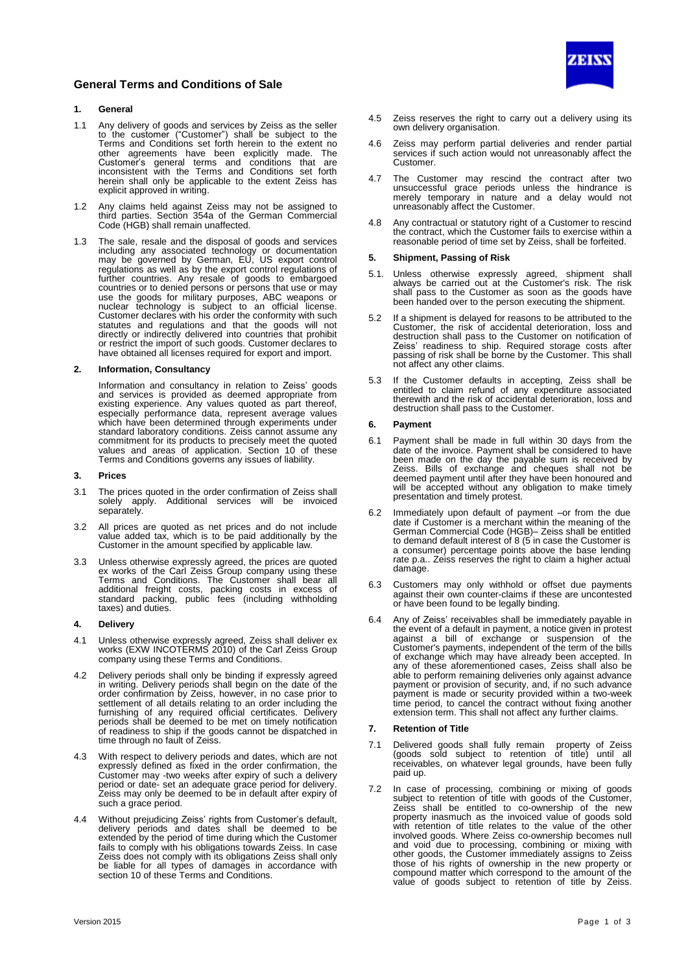

# **1. General**

- 1.1 Any delivery of goods and services by Zeiss as the seller to the customer ("Customer") shall be subject to the Terms and Conditions set forth herein to the extent no other agreements have been explicitly made. The Customer's general terms and conditions that are inconsistent with the Terms and Conditions set forth herein shall only be applicable to the extent Zeiss has explicit approved in writing.
- 1.2 Any claims held against Zeiss may not be assigned to third parties. Section 354a of the German Commercial Code (HGB) shall remain unaffected.
- 1.3 The sale, resale and the disposal of goods and services including any associated technology or documentation may be governed by German, EU, US export control regulations as well as by the export control regulations of further countries. Any resale of goods to embargoed countries or to denied persons or persons that use or may use the goods for military purposes, ABC weapons or nuclear technology is subject to an official license. Customer declares with his order the conformity with such statutes and regulations and that the goods will not directly or indirectly delivered into countries that prohibit or restrict the import of such goods. Customer declares to have obtained all licenses required for export and import.

## **2. Information, Consultancy**

Information and consultancy in relation to Zeiss' goods and services is provided as deemed appropriate from existing experience. Any values quoted as part thereof, especially performance data, represent average values which have been determined through experiments under standard laboratory conditions. Zeiss cannot assume any commitment for its products to precisely meet the quoted values and areas of application. Section 10 of these Terms and Conditions governs any issues of liability.

### **3. Prices**

- 3.1 The prices quoted in the order confirmation of Zeiss shall solely apply. Additional services will be invoiced separately.
- 3.2 All prices are quoted as net prices and do not include value added tax, which is to be paid additionally by the Customer in the amount specified by applicable law.
- 3.3 Unless otherwise expressly agreed, the prices are quoted ex works of the Carl Zeiss Group company using these Terms and Conditions. The Customer shall bear all additional freight costs, packing costs in excess of standard packing, public fees (including withholding taxes) and duties.

#### **4. Delivery**

- 4.1 Unless otherwise expressly agreed, Zeiss shall deliver ex works (EXW INCOTERMS 2010) of the Carl Zeiss Group company using these Terms and Conditions.
- 4.2 Delivery periods shall only be binding if expressly agreed in writing. Delivery periods shall begin on the date of the order confirmation by Zeiss, however, in no case prior to settlement of all details relating to an order including the furnishing of any required official certificates. Delivery periods shall be deemed to be met on timely notification of readiness to ship if the goods cannot be dispatched in time through no fault of Zeiss.
- 4.3 With respect to delivery periods and dates, which are not expressly defined as fixed in the order confirmation, the Customer may -two weeks after expiry of such a delivery period or date- set an adequate grace period for delivery. Zeiss may only be deemed to be in default after expiry of such a grace period.
- 4.4 Without prejudicing Zeiss' rights from Customer's default, delivery periods and dates shall be deemed to be extended by the period of time during which the Customer fails to comply with his obligations towards Zeiss. In case Zeiss does not comply with its obligations Zeiss shall only be liable for all types of damages in accordance with section 10 of these Terms and Conditions.



- 4.5 Zeiss reserves the right to carry out a delivery using its own delivery organisation.
- 4.6 Zeiss may perform partial deliveries and render partial services if such action would not unreasonably affect the Customer.
- 4.7 The Customer may rescind the contract after two unsuccessful grace periods unless the hindrance is merely temporary in nature and a delay would not unreasonably affect the Customer.
- 4.8 Any contractual or statutory right of a Customer to rescind the contract, which the Customer fails to exercise within a reasonable period of time set by Zeiss, shall be forfeited.

# **5. Shipment, Passing of Risk**

- 5.1. Unless otherwise expressly agreed, shipment shall always be carried out at the Customer's risk. The risk shall pass to the Customer as soon as the goods have been handed over to the person executing the shipment.
- 5.2 If a shipment is delayed for reasons to be attributed to the Customer, the risk of accidental deterioration, loss and destruction shall pass to the Customer on notification of Zeiss' readiness to ship. Required storage costs after passing of risk shall be borne by the Customer. This shall not affect any other claims.
- 5.3 If the Customer defaults in accepting, Zeiss shall be entitled to claim refund of any expenditure associated therewith and the risk of accidental deterioration, loss and destruction shall pass to the Customer.

## **6. Payment**

- 6.1 Payment shall be made in full within 30 days from the date of the invoice. Payment shall be considered to have been made on the day the payable sum is received by Zeiss. Bills of exchange and cheques shall not be deemed payment until after they have been honoured and will be accepted without any obligation to make timely presentation and timely protest.
- 6.2 Immediately upon default of payment –or from the due date if Customer is a merchant within the meaning of the German Commercial Code (HGB)– Zeiss shall be entitled to demand default interest of  $8(5)$  in case the Customer is a consumer) percentage points above the base lending rate p.a.. Zeiss reserves the right to claim a higher actual damage.
- 6.3 Customers may only withhold or offset due payments against their own counter-claims if these are uncontested or have been found to be legally binding.
- 6.4 Any of Zeiss' receivables shall be immediately payable in the event of a default in payment, a notice given in protest against a bill of exchange or suspension of the Customer's payments, independent of the term of the bills of exchange which may have already been accepted. In any of these aforementioned cases, Zeiss shall also be able to perform remaining deliveries only against advance payment or provision of security, and, if no such advance payment is made or security provided within a two-week time period, to cancel the contract without fixing another extension term. This shall not affect any further claims.

## **7. Retention of Title**

- 7.1 Delivered goods shall fully remain property of Zeiss (goods sold subject to retention of title) until all receivables, on whatever legal grounds, have been fully paid up.
- 7.2 In case of processing, combining or mixing of goods subject to retention of title with goods of the Customer, Zeiss shall be entitled to co-ownership of the new property inasmuch as the invoiced value of goods sold with retention of title relates to the value of the other involved goods. Where Zeiss co-ownership becomes null and void due to processing, combining or mixing with other goods, the Customer immediately assigns to Zeiss those of his rights of ownership in the new property or compound matter which correspond to the amount of the value of goods subject to retention of title by Zeiss.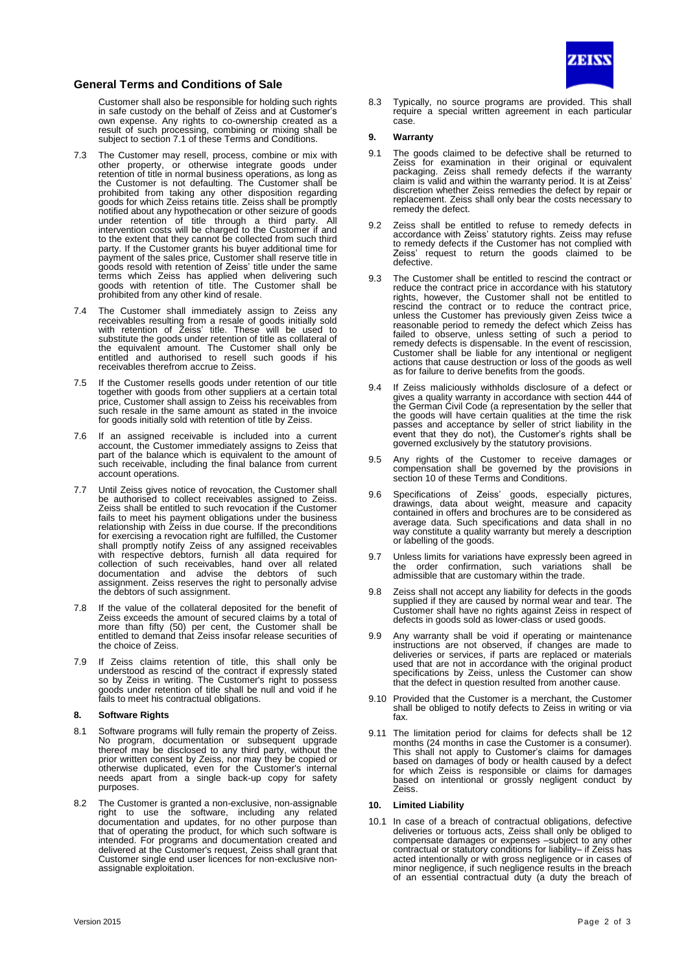

# **General Terms and Conditions of Sale**

Customer shall also be responsible for holding such rights in safe custody on the behalf of Zeiss and at Customer's own expense. Any rights to co-ownership created as a result of such processing, combining or mixing shall be subject to section 7.1 of these Terms and Conditions.

- 7.3 The Customer may resell, process, combine or mix with other property, or otherwise integrate goods under retention of title in normal business operations, as long as the Customer is not defaulting. The Customer shall be prohibited from taking any other disposition regarding goods for which Zeiss retains title. Zeiss shall be promptly notified about any hypothecation or other seizure of goods under retention of title through a third party. All intervention costs will be charged to the Customer if and to the extent that they cannot be collected from such third party. If the Customer grants his buyer additional time for payment of the sales price, Customer shall reserve title in goods resold with retention of Zeiss' title under the same terms which Zeiss has applied when delivering such goods with retention of title. The Customer shall be prohibited from any other kind of resale.
- 7.4 The Customer shall immediately assign to Zeiss any receivables resulting from a resale of goods initially sold with retention of Zeiss' title. These will be used to substitute the goods under retention of title as collateral of the equivalent amount. The Customer shall only be entitled and authorised to resell such goods if his receivables therefrom accrue to Zeiss.
- 7.5 If the Customer resells goods under retention of our title together with goods from other suppliers at a certain total price, Customer shall assign to Zeiss his receivables from such resale in the same amount as stated in the invoice for goods initially sold with retention of title by Zeiss.
- 7.6 If an assigned receivable is included into a current account, the Customer immediately assigns to Zeiss that part of the balance which is equivalent to the amount of such receivable, including the final balance from current account operations.
- 7.7 Until Zeiss gives notice of revocation, the Customer shall be authorised to collect receivables assigned to Zeiss. Zeiss shall be entitled to such revocation if the Customer fails to meet his payment obligations under the business relationship with Zeiss in due course. If the preconditions for exercising a revocation right are fulfilled, the Customer shall promptly notify Zeiss of any assigned receivables with respective debtors, furnish all data required for collection of such receivables, hand over all related documentation and advise the debtors of such assignment. Zeiss reserves the right to personally advise the debtors of such assignment.
- 7.8 If the value of the collateral deposited for the benefit of Zeiss exceeds the amount of secured claims by a total of more than fifty (50) per cent, the Customer shall be entitled to demand that Zeiss insofar release securities of the choice of Zeiss.
- 7.9 If Zeiss claims retention of title, this shall only be understood as rescind of the contract if expressly stated so by Zeiss in writing. The Customer's right to possess goods under retention of title shall be null and void if he fails to meet his contractual obligations.

## **8. Software Rights**

- 8.1 Software programs will fully remain the property of Zeiss. No program, documentation or subsequent upgrade thereof may be disclosed to any third party, without the prior written consent by Zeiss, nor may they be copied or otherwise duplicated, even for the Customer's internal needs apart from a single back-up copy for safety purposes.
- 8.2 The Customer is granted a non-exclusive, non-assignable right to use the software, including any related documentation and updates, for no other purpose than that of operating the product, for which such software is intended. For programs and documentation created and delivered at the Customer's request, Zeiss shall grant that Customer single end user licences for non-exclusive nonassignable exploitation.

8.3 Typically, no source programs are provided. This shall require a special written agreement in each particular case.

### **9. Warranty**

- 9.1 The goods claimed to be defective shall be returned to Zeiss for examination in their original or equivalent packaging. Zeiss shall remedy defects if the warranty claim is valid and within the warranty period. It is at Zeiss' discretion whether Zeiss remedies the defect by repair or replacement. Zeiss shall only bear the costs necessary to remedy the defect.
- 9.2 Zeiss shall be entitled to refuse to remedy defects in accordance with Zeiss' statutory rights. Zeiss may refuse to remedy defects if the Customer has not complied with Zeiss' request to return the goods claimed to be defective.
- 9.3 The Customer shall be entitled to rescind the contract or reduce the contract price in accordance with his statutory rights, however, the Customer shall not be entitled to rescind the contract or to reduce the contract price, unless the Customer has previously given Zeiss twice a reasonable period to remedy the defect which Zeiss has failed to observe, unless setting of such a period to remedy defects is dispensable. In the event of rescission, Customer shall be liable for any intentional or negligent actions that cause destruction or loss of the goods as well as for failure to derive benefits from the goods.
- 9.4 If Zeiss maliciously withholds disclosure of a defect or gives a quality warranty in accordance with section 444 of the German Civil Code (a representation by the seller that the goods will have certain qualities at the time the risk passes and acceptance by seller of strict liability in the event that they do not), the Customer's rights shall be governed exclusively by the statutory provisions.
- 9.5 Any rights of the Customer to receive damages or compensation shall be governed by the provisions in section 10 of these Terms and Conditions.
- 9.6 Specifications of Zeiss' goods, especially pictures, drawings, data about weight, measure and capacity contained in offers and brochures are to be considered as average data. Such specifications and data shall in no way constitute a quality warranty but merely a description or labelling of the goods.
- 9.7 Unless limits for variations have expressly been agreed in<br>the order confirmation, such variations shall be the order confirmation, such variations shall be admissible that are customary within the trade.
- 9.8 Zeiss shall not accept any liability for defects in the goods supplied if they are caused by normal wear and tear. The Customer shall have no rights against Zeiss in respect of defects in goods sold as lower-class or used goods.
- 9.9 Any warranty shall be void if operating or maintenance instructions are not observed, if changes are made to deliveries or services, if parts are replaced or materials used that are not in accordance with the original product specifications by Zeiss, unless the Customer can show that the defect in question resulted from another cause.
- 9.10 Provided that the Customer is a merchant, the Customer shall be obliged to notify defects to Zeiss in writing or via fax.
- 9.11 The limitation period for claims for defects shall be 12 months (24 months in case the Customer is a consumer). This shall not apply to Customer's claims for damages based on damages of body or health caused by a defect for which Zeiss is responsible or claims for damages based on intentional or grossly negligent conduct by Zeiss.

## **10. Limited Liability**

10.1 In case of a breach of contractual obligations, defective deliveries or tortuous acts, Zeiss shall only be obliged to compensate damages or expenses –subject to any other contractual or statutory conditions for liability– if Zeiss has acted intentionally or with gross negligence or in cases of minor negligence, if such negligence results in the breach of an essential contractual duty (a duty the breach of